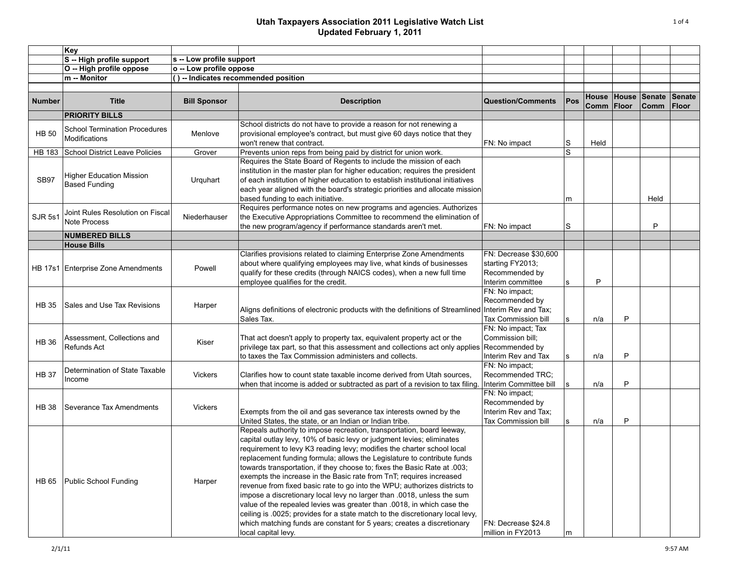|               | Key                                                          |                          |                                                                                                                                                                                                                                                                                                                                                                                                                                                                                                                                                                                                                                                                                                                                                                                                                                                                           |                                                                                  |              |                             |   |                       |                               |
|---------------|--------------------------------------------------------------|--------------------------|---------------------------------------------------------------------------------------------------------------------------------------------------------------------------------------------------------------------------------------------------------------------------------------------------------------------------------------------------------------------------------------------------------------------------------------------------------------------------------------------------------------------------------------------------------------------------------------------------------------------------------------------------------------------------------------------------------------------------------------------------------------------------------------------------------------------------------------------------------------------------|----------------------------------------------------------------------------------|--------------|-----------------------------|---|-----------------------|-------------------------------|
|               | S -- High profile support                                    | s -- Low profile support |                                                                                                                                                                                                                                                                                                                                                                                                                                                                                                                                                                                                                                                                                                                                                                                                                                                                           |                                                                                  |              |                             |   |                       |                               |
|               | O -- High profile oppose                                     | o -- Low profile oppose  |                                                                                                                                                                                                                                                                                                                                                                                                                                                                                                                                                                                                                                                                                                                                                                                                                                                                           |                                                                                  |              |                             |   |                       |                               |
|               | m -- Monitor                                                 |                          | () -- Indicates recommended position                                                                                                                                                                                                                                                                                                                                                                                                                                                                                                                                                                                                                                                                                                                                                                                                                                      |                                                                                  |              |                             |   |                       |                               |
|               |                                                              |                          |                                                                                                                                                                                                                                                                                                                                                                                                                                                                                                                                                                                                                                                                                                                                                                                                                                                                           |                                                                                  |              |                             |   |                       |                               |
| <b>Number</b> | <b>Title</b>                                                 | <b>Bill Sponsor</b>      | <b>Description</b>                                                                                                                                                                                                                                                                                                                                                                                                                                                                                                                                                                                                                                                                                                                                                                                                                                                        | <b>Question/Comments</b>                                                         | Pos          | House House<br>Comm   Floor |   | Senate<br><b>Comm</b> | <b>Senate</b><br><b>Floor</b> |
|               | <b>PRIORITY BILLS</b>                                        |                          |                                                                                                                                                                                                                                                                                                                                                                                                                                                                                                                                                                                                                                                                                                                                                                                                                                                                           |                                                                                  |              |                             |   |                       |                               |
| <b>HB 50</b>  | <b>School Termination Procedures</b><br><b>Modifications</b> | Menlove                  | School districts do not have to provide a reason for not renewing a<br>provisional employee's contract, but must give 60 days notice that they<br>won't renew that contract.                                                                                                                                                                                                                                                                                                                                                                                                                                                                                                                                                                                                                                                                                              | FN: No impact                                                                    | S            | Held                        |   |                       |                               |
| <b>HB 183</b> | School District Leave Policies                               | Grover                   | Prevents union reps from being paid by district for union work.                                                                                                                                                                                                                                                                                                                                                                                                                                                                                                                                                                                                                                                                                                                                                                                                           |                                                                                  | S            |                             |   |                       |                               |
| <b>SB97</b>   | <b>Higher Education Mission</b><br><b>Based Funding</b>      | Urquhart                 | Requires the State Board of Regents to include the mission of each<br>institution in the master plan for higher education; requires the president<br>of each institution of higher education to establish institutional initiatives<br>each year aligned with the board's strategic priorities and allocate mission<br>based funding to each initiative.                                                                                                                                                                                                                                                                                                                                                                                                                                                                                                                  |                                                                                  | m            |                             |   | Held                  |                               |
| SJR 5s1       | Joint Rules Resolution on Fiscal<br><b>Note Process</b>      | Niederhauser             | Requires performance notes on new programs and agencies. Authorizes<br>the Executive Appropriations Committee to recommend the elimination of<br>the new program/agency if performance standards aren't met.                                                                                                                                                                                                                                                                                                                                                                                                                                                                                                                                                                                                                                                              | FN: No impact                                                                    | S            |                             |   | P                     |                               |
|               | <b>NUMBERED BILLS</b>                                        |                          |                                                                                                                                                                                                                                                                                                                                                                                                                                                                                                                                                                                                                                                                                                                                                                                                                                                                           |                                                                                  |              |                             |   |                       |                               |
|               | <b>House Bills</b>                                           |                          |                                                                                                                                                                                                                                                                                                                                                                                                                                                                                                                                                                                                                                                                                                                                                                                                                                                                           |                                                                                  |              |                             |   |                       |                               |
|               | HB 17s1 Enterprise Zone Amendments                           | Powell                   | Clarifies provisions related to claiming Enterprise Zone Amendments<br>about where qualifying employees may live, what kinds of businesses<br>qualify for these credits (through NAICS codes), when a new full time<br>employee qualifies for the credit.                                                                                                                                                                                                                                                                                                                                                                                                                                                                                                                                                                                                                 | FN: Decrease \$30,600<br>starting FY2013;<br>Recommended by<br>Interim committee | l S          | P                           |   |                       |                               |
| <b>HB 35</b>  | Sales and Use Tax Revisions                                  | Harper                   | Aligns definitions of electronic products with the definitions of Streamlined Interim Rev and Tax;<br>Sales Tax.                                                                                                                                                                                                                                                                                                                                                                                                                                                                                                                                                                                                                                                                                                                                                          | FN: No impact;<br>Recommended by<br>Tax Commission bill                          | $\mathbf{s}$ | n/a                         | P |                       |                               |
| <b>HB 36</b>  | Assessment, Collections and<br><b>Refunds Act</b>            | Kiser                    | That act doesn't apply to property tax, equivalent property act or the<br>privilege tax part, so that this assessment and collections act only applies<br>to taxes the Tax Commission administers and collects.                                                                                                                                                                                                                                                                                                                                                                                                                                                                                                                                                                                                                                                           | FN: No impact; Tax<br>Commission bill;<br>Recommended by<br>Interim Rev and Tax  | $\mathbf{s}$ | n/a                         | P |                       |                               |
| <b>HB 37</b>  | Determination of State Taxable<br>Income                     | <b>Vickers</b>           | Clarifies how to count state taxable income derived from Utah sources.<br>when that income is added or subtracted as part of a revision to tax filing.                                                                                                                                                                                                                                                                                                                                                                                                                                                                                                                                                                                                                                                                                                                    | FN: No impact;<br>Recommended TRC;<br>Interim Committee bill                     | $\mathbf{s}$ | n/a                         | P |                       |                               |
| <b>HB 38</b>  | Severance Tax Amendments                                     | <b>Vickers</b>           | Exempts from the oil and gas severance tax interests owned by the<br>United States, the state, or an Indian or Indian tribe.                                                                                                                                                                                                                                                                                                                                                                                                                                                                                                                                                                                                                                                                                                                                              | FN: No impact;<br>Recommended by<br>Interim Rev and Tax:<br>Tax Commission bill  | $\mathbf{s}$ | n/a                         | P |                       |                               |
| HB 65         | Public School Funding                                        | Harper                   | Repeals authority to impose recreation, transportation, board leeway,<br>capital outlay levy, 10% of basic levy or judgment levies; eliminates<br>requirement to levy K3 reading levy; modifies the charter school local<br>replacement funding formula; allows the Legislature to contribute funds<br>towards transportation, if they choose to; fixes the Basic Rate at .003;<br>exempts the increase in the Basic rate from TnT; requires increased<br>revenue from fixed basic rate to go into the WPU; authorizes districts to<br>impose a discretionary local levy no larger than .0018, unless the sum<br>value of the repealed levies was greater than .0018, in which case the<br>ceiling is .0025; provides for a state match to the discretionary local levy,<br>which matching funds are constant for 5 years; creates a discretionary<br>local capital levy. | FN: Decrease \$24.8<br>million in FY2013                                         | m            |                             |   |                       |                               |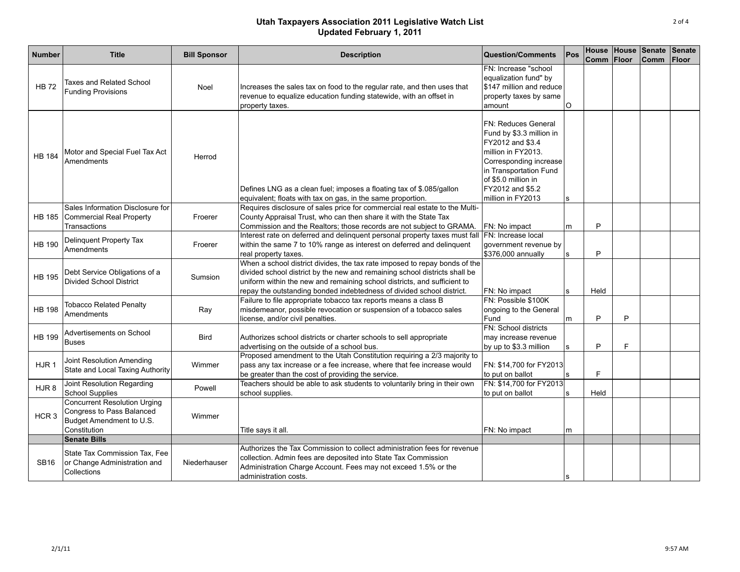| Number           | <b>Title</b>                                                                                                 | <b>Bill Sponsor</b> | <b>Description</b>                                                                                                                                                                                                                                                                                            | <b>Question/Comments</b>                                                                                                                                                                                             | Pos      | Comm Floor |    | House House Senate Senate<br><b>Comm</b> | Floor |
|------------------|--------------------------------------------------------------------------------------------------------------|---------------------|---------------------------------------------------------------------------------------------------------------------------------------------------------------------------------------------------------------------------------------------------------------------------------------------------------------|----------------------------------------------------------------------------------------------------------------------------------------------------------------------------------------------------------------------|----------|------------|----|------------------------------------------|-------|
| <b>HB 72</b>     | <b>Taxes and Related School</b><br><b>Funding Provisions</b>                                                 | Noel                | Increases the sales tax on food to the regular rate, and then uses that<br>revenue to equalize education funding statewide, with an offset in<br>property taxes.                                                                                                                                              | FN: Increase "school<br>equalization fund" by<br>\$147 million and reduce<br>property taxes by same<br>amount                                                                                                        | $\Omega$ |            |    |                                          |       |
| <b>HB 184</b>    | Motor and Special Fuel Tax Act<br>Amendments                                                                 | Herrod              | Defines LNG as a clean fuel; imposes a floating tax of \$.085/gallon<br>equivalent; floats with tax on gas, in the same proportion.                                                                                                                                                                           | <b>FN: Reduces General</b><br>Fund by \$3.3 million in<br>FY2012 and \$3.4<br>million in FY2013.<br>Corresponding increase<br>in Transportation Fund<br>of \$5.0 million in<br>FY2012 and \$5.2<br>million in FY2013 | s        |            |    |                                          |       |
|                  | Sales Information Disclosure for<br>HB 185 Commercial Real Property<br>Transactions                          | Froerer             | Requires disclosure of sales price for commercial real estate to the Multi-<br>County Appraisal Trust, who can then share it with the State Tax<br>Commission and the Realtors; those records are not subject to GRAMA.                                                                                       | FN: No impact                                                                                                                                                                                                        | m        | P          |    |                                          |       |
| <b>HB 190</b>    | Delinquent Property Tax<br>Amendments                                                                        | Froerer             | Interest rate on deferred and delinquent personal property taxes must fall<br>within the same 7 to 10% range as interest on deferred and delinquent<br>real property taxes.                                                                                                                                   | FN: Increase local<br>government revenue by<br>\$376,000 annually                                                                                                                                                    | s        | P          |    |                                          |       |
| <b>HB 195</b>    | Debt Service Obligations of a<br><b>Divided School District</b>                                              | <b>Sumsion</b>      | When a school district divides, the tax rate imposed to repay bonds of the<br>divided school district by the new and remaining school districts shall be<br>uniform within the new and remaining school districts, and sufficient to<br>repay the outstanding bonded indebtedness of divided school district. | FN: No impact                                                                                                                                                                                                        | s        | Held       |    |                                          |       |
| <b>HB 198</b>    | <b>Tobacco Related Penalty</b><br><b>Amendments</b>                                                          | Ray                 | Failure to file appropriate tobacco tax reports means a class B<br>misdemeanor, possible revocation or suspension of a tobacco sales<br>license, and/or civil penalties.                                                                                                                                      | FN: Possible \$100K<br>ongoing to the General<br>Fund                                                                                                                                                                | m        | P          | P  |                                          |       |
| <b>HB 199</b>    | Advertisements on School<br><b>Buses</b>                                                                     | <b>Bird</b>         | Authorizes school districts or charter schools to sell appropriate<br>advertising on the outside of a school bus.                                                                                                                                                                                             | FN: School districts<br>may increase revenue<br>by up to \$3.3 million                                                                                                                                               | s        | P          | F. |                                          |       |
| HJR1             | Joint Resolution Amending<br>State and Local Taxing Authority                                                | Wimmer              | Proposed amendment to the Utah Constitution requiring a 2/3 majority to<br>pass any tax increase or a fee increase, where that fee increase would<br>be greater than the cost of providing the service.                                                                                                       | FN: \$14,700 for FY2013<br>to put on ballot                                                                                                                                                                          | s        | F          |    |                                          |       |
| HJR8             | Joint Resolution Regarding<br><b>School Supplies</b>                                                         | Powell              | Teachers should be able to ask students to voluntarily bring in their own<br>school supplies.                                                                                                                                                                                                                 | FN: \$14,700 for FY2013<br>to put on ballot                                                                                                                                                                          | s        | Held       |    |                                          |       |
| HCR <sub>3</sub> | <b>Concurrent Resolution Urging</b><br>Congress to Pass Balanced<br>Budget Amendment to U.S.<br>Constitution | Wimmer              | Title says it all.                                                                                                                                                                                                                                                                                            | FN: No impact                                                                                                                                                                                                        | m        |            |    |                                          |       |
|                  | <b>Senate Bills</b>                                                                                          |                     |                                                                                                                                                                                                                                                                                                               |                                                                                                                                                                                                                      |          |            |    |                                          |       |
| <b>SB16</b>      | State Tax Commission Tax, Fee<br>or Change Administration and<br>Collections                                 | Niederhauser        | Authorizes the Tax Commission to collect administration fees for revenue<br>collection. Admin fees are deposited into State Tax Commission<br>Administration Charge Account. Fees may not exceed 1.5% or the<br>administration costs.                                                                         |                                                                                                                                                                                                                      | s        |            |    |                                          |       |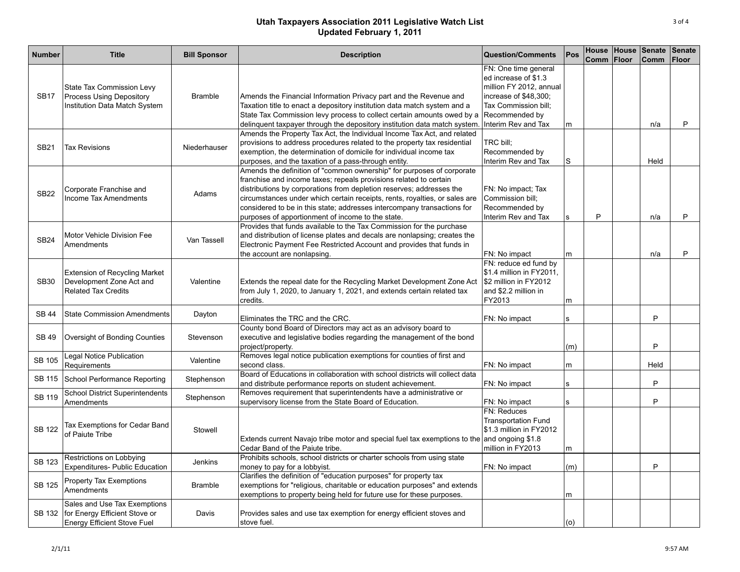| <b>Number</b> | <b>Title</b>                                                                                               | <b>Bill Sponsor</b> | <b>Description</b>                                                                                                                                                                                                                                                                                                                                                                                                               | <b>Question/Comments</b>                                                                                                                                          | Pos    | Comm | Floor | House House Senate<br>Comm | <b>Senate</b><br><b>Floor</b> |
|---------------|------------------------------------------------------------------------------------------------------------|---------------------|----------------------------------------------------------------------------------------------------------------------------------------------------------------------------------------------------------------------------------------------------------------------------------------------------------------------------------------------------------------------------------------------------------------------------------|-------------------------------------------------------------------------------------------------------------------------------------------------------------------|--------|------|-------|----------------------------|-------------------------------|
| <b>SB17</b>   | State Tax Commission Levy<br><b>Process Using Depository</b><br>Institution Data Match System              | <b>Bramble</b>      | Amends the Financial Information Privacy part and the Revenue and<br>Taxation title to enact a depository institution data match system and a<br>State Tax Commission levy process to collect certain amounts owed by a<br>delinquent taxpayer through the depository institution data match system                                                                                                                              | FN: One time general<br>ed increase of \$1.3<br>million FY 2012, annual<br>increase of \$48,300;<br>Tax Commission bill;<br>Recommended by<br>Interim Rev and Tax |        |      |       | n/a                        | P                             |
| <b>SB21</b>   | <b>Tax Revisions</b>                                                                                       | Niederhauser        | Amends the Property Tax Act, the Individual Income Tax Act, and related<br>provisions to address procedures related to the property tax residential<br>exemption, the determination of domicile for individual income tax<br>purposes, and the taxation of a pass-through entity.                                                                                                                                                | TRC bill;<br>Recommended by<br>Interim Rev and Tax                                                                                                                | m<br>S |      |       | Held                       |                               |
| <b>SB22</b>   | Corporate Franchise and<br><b>Income Tax Amendments</b>                                                    | Adams               | Amends the definition of "common ownership" for purposes of corporate<br>franchise and income taxes; repeals provisions related to certain<br>distributions by corporations from depletion reserves; addresses the<br>circumstances under which certain receipts, rents, royalties, or sales are<br>considered to be in this state; addresses intercompany transactions for<br>purposes of apportionment of income to the state. | FN: No impact; Tax<br>Commission bill;<br>Recommended by<br>Interim Rev and Tax                                                                                   | s      | P    |       | n/a                        | P                             |
| <b>SB24</b>   | Motor Vehicle Division Fee<br>Amendments                                                                   | Van Tassell         | Provides that funds available to the Tax Commission for the purchase<br>and distribution of license plates and decals are nonlapsing; creates the<br>Electronic Payment Fee Restricted Account and provides that funds in<br>the account are nonlapsing.                                                                                                                                                                         | FN: No impact                                                                                                                                                     | m      |      |       | n/a                        | P                             |
| <b>SB30</b>   | <b>Extension of Recycling Market</b><br>Development Zone Act and<br><b>Related Tax Credits</b>             | Valentine           | Extends the repeal date for the Recycling Market Development Zone Act<br>from July 1, 2020, to January 1, 2021, and extends certain related tax<br>credits.                                                                                                                                                                                                                                                                      | FN: reduce ed fund by<br>\$1.4 million in FY2011,<br>\$2 million in FY2012<br>and \$2.2 million in<br>FY2013                                                      | m      |      |       |                            |                               |
| <b>SB 44</b>  | <b>State Commission Amendments</b>                                                                         | Dayton              | Eliminates the TRC and the CRC.                                                                                                                                                                                                                                                                                                                                                                                                  | FN: No impact                                                                                                                                                     | s      |      |       | P                          |                               |
| <b>SB 49</b>  | Oversight of Bonding Counties                                                                              | Stevenson           | County bond Board of Directors may act as an advisory board to<br>executive and legislative bodies regarding the management of the bond<br>project/property.                                                                                                                                                                                                                                                                     |                                                                                                                                                                   | (m)    |      |       | P                          |                               |
| <b>SB 105</b> | Legal Notice Publication<br>Requirements                                                                   | Valentine           | Removes legal notice publication exemptions for counties of first and<br>second class.                                                                                                                                                                                                                                                                                                                                           | FN: No impact                                                                                                                                                     | m      |      |       | Held                       |                               |
|               | SB 115 School Performance Reporting                                                                        | Stephenson          | Board of Educations in collaboration with school districts will collect data<br>and distribute performance reports on student achievement.                                                                                                                                                                                                                                                                                       | FN: No impact                                                                                                                                                     | s      |      |       | P                          |                               |
| <b>SB 119</b> | <b>School District Superintendents</b><br>Amendments                                                       | Stephenson          | Removes requirement that superintendents have a administrative or<br>supervisory license from the State Board of Education.                                                                                                                                                                                                                                                                                                      | FN: No impact                                                                                                                                                     | s      |      |       | P                          |                               |
| <b>SB 122</b> | Tax Exemptions for Cedar Band<br>of Paiute Tribe                                                           | Stowell             | Extends current Navajo tribe motor and special fuel tax exemptions to the and ongoing \$1.8<br>Cedar Band of the Paiute tribe.                                                                                                                                                                                                                                                                                                   | FN: Reduces<br><b>Transportation Fund</b><br>\$1.3 million in FY2012<br>million in FY2013                                                                         | m      |      |       |                            |                               |
| <b>SB 123</b> | Restrictions on Lobbying<br><b>Expenditures- Public Education</b>                                          | Jenkins             | Prohibits schools, school districts or charter schools from using state<br>money to pay for a lobbyist.                                                                                                                                                                                                                                                                                                                          | FN: No impact                                                                                                                                                     | (m)    |      |       | P                          |                               |
| <b>SB 125</b> | Property Tax Exemptions<br>Amendments                                                                      | <b>Bramble</b>      | Clarifies the definition of "education purposes" for property tax<br>exemptions for "religious, charitable or education purposes" and extends<br>exemptions to property being held for future use for these purposes.                                                                                                                                                                                                            |                                                                                                                                                                   | m      |      |       |                            |                               |
|               | Sales and Use Tax Exemptions<br>SB 132 for Energy Efficient Stove or<br><b>Energy Efficient Stove Fuel</b> | Davis               | Provides sales and use tax exemption for energy efficient stoves and<br>stove fuel.                                                                                                                                                                                                                                                                                                                                              |                                                                                                                                                                   | (0)    |      |       |                            |                               |